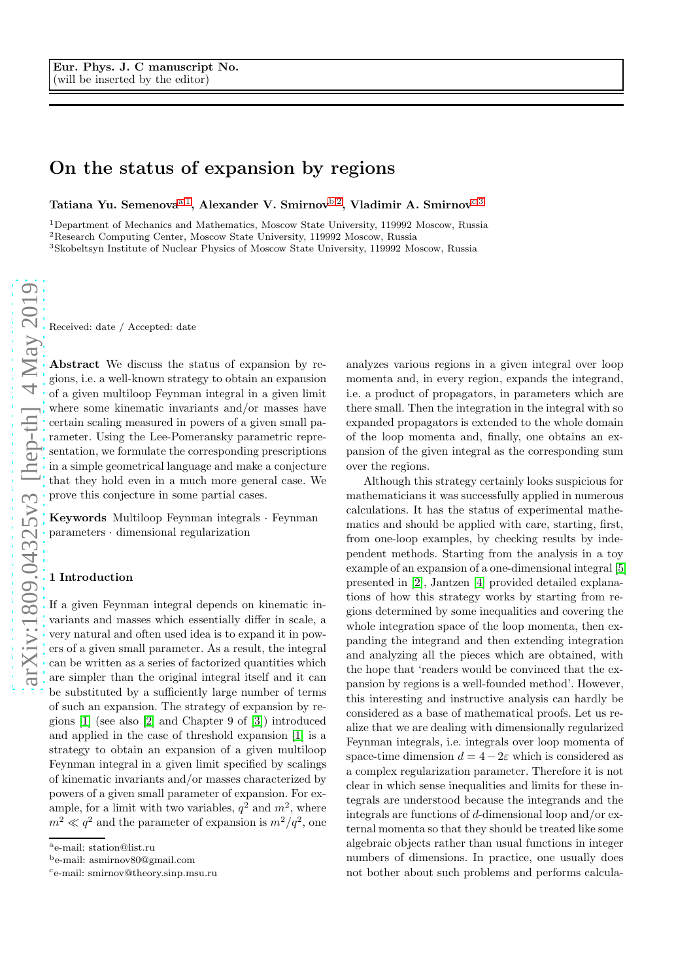# On the status of expansion by regions

Tatiana Yu. Semenova<sup>[a,](#page-0-0) 1</sup>, Alexander V. Smirnov<sup>[b,](#page-0-1) 2</sup>, Vladimir A. Smirnov<sup>[c,](#page-0-2) 3</sup>

<sup>1</sup>Department of Mechanics and Mathematics, Moscow State University, 119992 Moscow, Russia <sup>2</sup>Research Computing Center, Moscow State University, 119992 Moscow, Russia <sup>3</sup>Skobeltsyn Institute of Nuclear Physics of Moscow State University, 119992 Moscow, Russia

Received: date / Accepted: date

Abstract We discuss the status of expansion by regions, i.e. a well-known strategy to obtain an expansion of a given multiloop Feynman integral in a given limit where some kinematic invariants and/or masses have certain scaling measured in powers of a given small parameter. Using the Lee-Pomeransky parametric representation, we formulate the corresponding prescriptions in a simple geometrical language and make a conjecture that they hold even in a much more general case. We prove this conjecture in some partial cases.

Keywords Multiloop Feynman integrals · Feynman parameters · dimensional regularization

### 1 Introduction

If a given Feynman integral depends on kinematic invariants and masses which essentially differ in scale, a very natural and often used idea is to expand it in powers of a given small parameter. As a result, the integral can be written as a series of factorized quantities which are simpler than the original integral itself and it can be substituted by a sufficiently large number of terms of such an expansion. The strategy of expansion by regions [\[1\]](#page-11-0) (see also [\[2\]](#page-11-1) and Chapter 9 of [\[3\]](#page-11-2)) introduced and applied in the case of threshold expansion [\[1\]](#page-11-0) is a strategy to obtain an expansion of a given multiloop Feynman integral in a given limit specified by scalings of kinematic invariants and/or masses characterized by powers of a given small parameter of expansion. For example, for a limit with two variables,  $q^2$  and  $m^2$ , where  $m^2 \ll q^2$  and the parameter of expansion is  $m^2/q^2$ , one

analyzes various regions in a given integral over loop momenta and, in every region, expands the integrand, i.e. a product of propagators, in parameters which are there small. Then the integration in the integral with so expanded propagators is extended to the whole domain of the loop momenta and, finally, one obtains an expansion of the given integral as the corresponding sum over the regions.

Although this strategy certainly looks suspicious for mathematicians it was successfully applied in numerous calculations. It has the status of experimental mathematics and should be applied with care, starting, first, from one-loop examples, by checking results by independent methods. Starting from the analysis in a toy example of an expansion of a one-dimensional integral [\[5\]](#page-11-3) presented in [\[2\]](#page-11-1), Jantzen [\[4\]](#page-11-4) provided detailed explanations of how this strategy works by starting from regions determined by some inequalities and covering the whole integration space of the loop momenta, then expanding the integrand and then extending integration and analyzing all the pieces which are obtained, with the hope that 'readers would be convinced that the expansion by regions is a well-founded method'. However, this interesting and instructive analysis can hardly be considered as a base of mathematical proofs. Let us realize that we are dealing with dimensionally regularized Feynman integrals, i.e. integrals over loop momenta of space-time dimension  $d = 4 - 2\varepsilon$  which is considered as a complex regularization parameter. Therefore it is not clear in which sense inequalities and limits for these integrals are understood because the integrands and the integrals are functions of d-dimensional loop and/or external momenta so that they should be treated like some algebraic objects rather than usual functions in integer numbers of dimensions. In practice, one usually does not bother about such problems and performs calcula-

<span id="page-0-0"></span><sup>a</sup>e-mail: station@list.ru

<span id="page-0-1"></span><sup>b</sup>e-mail: asmirnov80@gmail.com

<span id="page-0-2"></span>c e-mail: smirnov@theory.sinp.msu.ru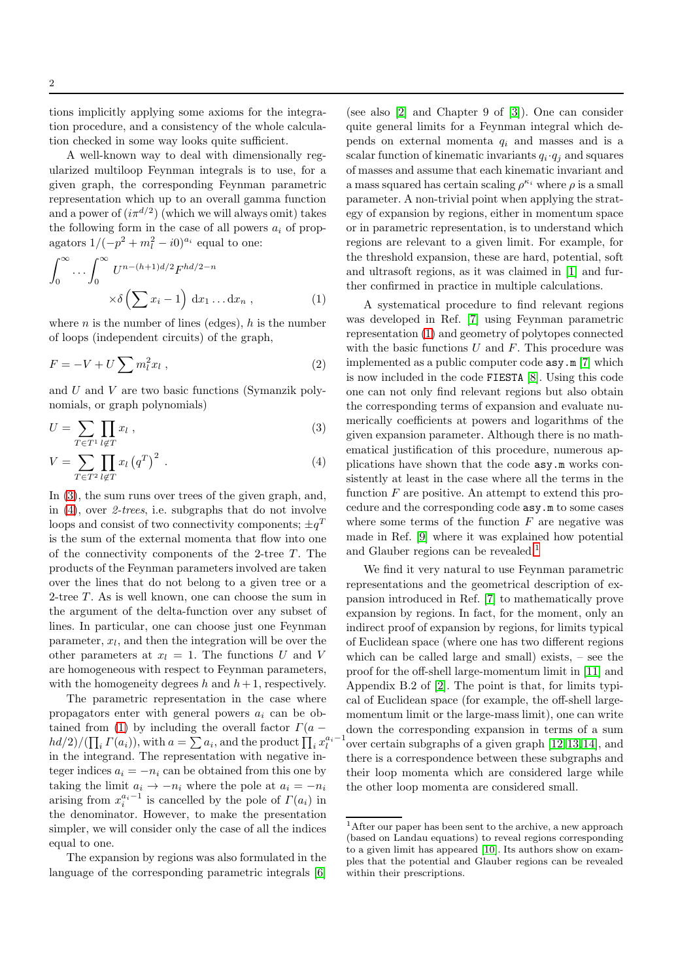tions implicitly applying some axioms for the integration procedure, and a consistency of the whole calculation checked in some way looks quite sufficient.

A well-known way to deal with dimensionally regularized multiloop Feynman integrals is to use, for a given graph, the corresponding Feynman parametric representation which up to an overall gamma function and a power of  $(i\pi^{d/2})$  (which we will always omit) takes the following form in the case of all powers  $a_i$  of propagators  $1/(-p^2 + m_l^2 - i0)^{a_i}$  equal to one:

<span id="page-1-1"></span>
$$
\int_0^\infty \cdots \int_0^\infty U^{n-(h+1)d/2} F^{hd/2-n}
$$

$$
\times \delta \left( \sum x_i - 1 \right) dx_1 \dots dx_n , \qquad (1)
$$

where *n* is the number of lines (edges),  $h$  is the number of loops (independent circuits) of the graph,

$$
F = -V + U \sum m_l^2 x_l , \qquad (2)
$$

and  $U$  and  $V$  are two basic functions (Symanzik polynomials, or graph polynomials)

<span id="page-1-0"></span>
$$
U = \sum_{T \in T^1} \prod_{l \notin T} x_l , \qquad (3)
$$

$$
V = \sum_{T \in T^2} \prod_{l \notin T} x_l (q^T)^2 . \tag{4}
$$

In [\(3\)](#page-1-0), the sum runs over trees of the given graph, and, in  $(4)$ , over 2-trees, i.e. subgraphs that do not involve loops and consist of two connectivity components;  $\pm q^T$ is the sum of the external momenta that flow into one of the connectivity components of the 2-tree  $T$ . The products of the Feynman parameters involved are taken over the lines that do not belong to a given tree or a 2-tree  $T$ . As is well known, one can choose the sum in the argument of the delta-function over any subset of lines. In particular, one can choose just one Feynman  $parameter,  $x_l$ , and then the integration will be over the$ other parameters at  $x_l = 1$ . The functions U and V are homogeneous with respect to Feynman parameters, with the homogeneity degrees h and  $h+1$ , respectively.

The parametric representation in the case where propagators enter with general powers  $a_i$  can be ob-tained from [\(1\)](#page-1-1) by including the overall factor  $\Gamma(a - )$  $hd/2)/(\prod_i \Gamma(a_i))$ , with  $a = \sum a_i$ , and the product  $\prod_i x_i^{a_i-1}$ in the integrand. The representation with negative integer indices  $a_i = -n_i$  can be obtained from this one by taking the limit  $a_i \rightarrow -n_i$  where the pole at  $a_i = -n_i$ arising from  $x_i^{a_i-1}$  is cancelled by the pole of  $\Gamma(a_i)$  in the denominator. However, to make the presentation simpler, we will consider only the case of all the indices equal to one.

The expansion by regions was also formulated in the language of the corresponding parametric integrals [\[6\]](#page-11-5)

(see also [\[2\]](#page-11-1) and Chapter 9 of [\[3\]](#page-11-2)). One can consider quite general limits for a Feynman integral which depends on external momenta  $q_i$  and masses and is a scalar function of kinematic invariants  $q_i \cdot q_j$  and squares of masses and assume that each kinematic invariant and a mass squared has certain scaling  $\rho^{\kappa_i}$  where  $\rho$  is a small parameter. A non-trivial point when applying the strategy of expansion by regions, either in momentum space or in parametric representation, is to understand which regions are relevant to a given limit. For example, for the threshold expansion, these are hard, potential, soft and ultrasoft regions, as it was claimed in [\[1\]](#page-11-0) and further confirmed in practice in multiple calculations.

A systematical procedure to find relevant regions was developed in Ref. [\[7\]](#page-11-6) using Feynman parametric representation [\(1\)](#page-1-1) and geometry of polytopes connected with the basic functions  $U$  and  $F$ . This procedure was implemented as a public computer code asy.m [\[7\]](#page-11-6) which is now included in the code FIESTA [\[8\]](#page-11-7). Using this code one can not only find relevant regions but also obtain the corresponding terms of expansion and evaluate numerically coefficients at powers and logarithms of the given expansion parameter. Although there is no mathematical justification of this procedure, numerous applications have shown that the code asy.m works consistently at least in the case where all the terms in the function  $F$  are positive. An attempt to extend this procedure and the corresponding code asy.m to some cases where some terms of the function  $F$  are negative was made in Ref. [\[9\]](#page-11-8) where it was explained how potential and Glauber regions can be revealed.<sup>[1](#page-1-2)</sup>

We find it very natural to use Feynman parametric representations and the geometrical description of expansion introduced in Ref. [\[7\]](#page-11-6) to mathematically prove expansion by regions. In fact, for the moment, only an indirect proof of expansion by regions, for limits typical of Euclidean space (where one has two different regions which can be called large and small) exists, – see the proof for the off-shell large-momentum limit in [\[11\]](#page-11-9) and Appendix B.2 of [\[2\]](#page-11-1). The point is that, for limits typical of Euclidean space (for example, the off-shell largemomentum limit or the large-mass limit), one can write down the corresponding expansion in terms of a sum over certain subgraphs of a given graph [\[12,](#page-11-10)[13,](#page-11-11)[14\]](#page-11-12), and there is a correspondence between these subgraphs and their loop momenta which are considered large while the other loop momenta are considered small.

<span id="page-1-2"></span><sup>1</sup>After our paper has been sent to the archive, a new approach (based on Landau equations) to reveal regions corresponding to a given limit has appeared [\[10\]](#page-11-13). Its authors show on examples that the potential and Glauber regions can be revealed within their prescriptions.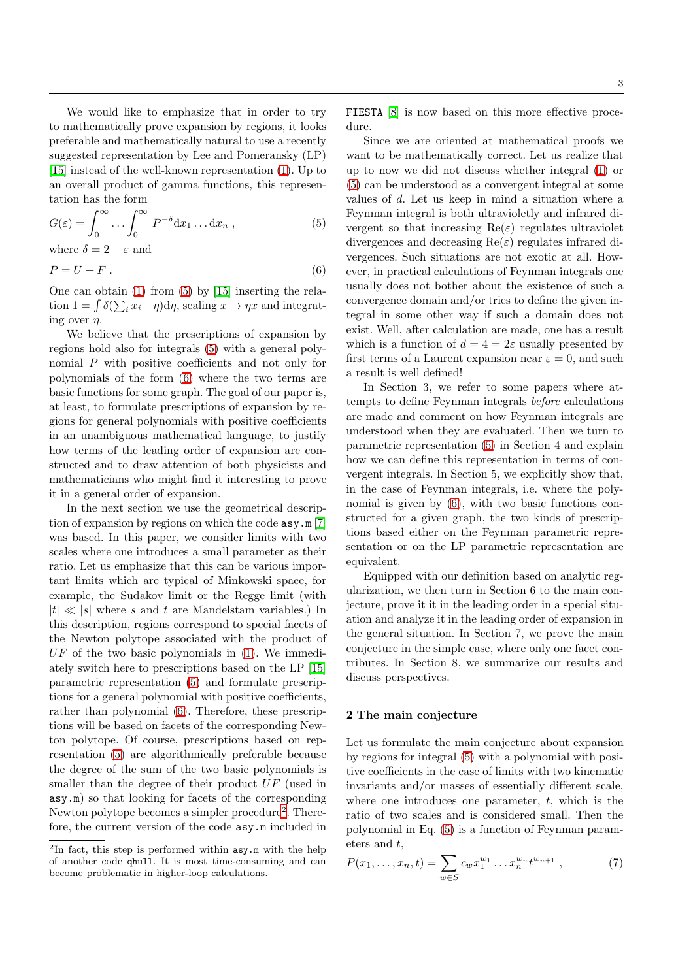We would like to emphasize that in order to try to mathematically prove expansion by regions, it looks preferable and mathematically natural to use a recently suggested representation by Lee and Pomeransky (LP) [\[15\]](#page-11-14) instead of the well-known representation [\(1\)](#page-1-1). Up to an overall product of gamma functions, this representation has the form

<span id="page-2-0"></span>
$$
G(\varepsilon) = \int_0^\infty \dots \int_0^\infty P^{-\delta} \mathrm{d}x_1 \dots \mathrm{d}x_n , \qquad (5)
$$

where  $\delta = 2 - \varepsilon$  and

<span id="page-2-1"></span>
$$
P = U + F \tag{6}
$$

One can obtain [\(1\)](#page-1-1) from [\(5\)](#page-2-0) by [\[15\]](#page-11-14) inserting the relation  $1 = \int \delta(\sum_i x_i - \eta) d\eta$ , scaling  $x \to \eta x$  and integrating over  $\eta$ .

We believe that the prescriptions of expansion by regions hold also for integrals [\(5\)](#page-2-0) with a general polynomial P with positive coefficients and not only for polynomials of the form [\(6\)](#page-2-1) where the two terms are basic functions for some graph. The goal of our paper is, at least, to formulate prescriptions of expansion by regions for general polynomials with positive coefficients in an unambiguous mathematical language, to justify how terms of the leading order of expansion are constructed and to draw attention of both physicists and mathematicians who might find it interesting to prove it in a general order of expansion.

In the next section we use the geometrical description of expansion by regions on which the code asy.m [\[7\]](#page-11-6) was based. In this paper, we consider limits with two scales where one introduces a small parameter as their ratio. Let us emphasize that this can be various important limits which are typical of Minkowski space, for example, the Sudakov limit or the Regge limit (with  $|t| \ll |s|$  where s and t are Mandelstam variables.) In this description, regions correspond to special facets of the Newton polytope associated with the product of  $UF$  of the two basic polynomials in  $(1)$ . We immediately switch here to prescriptions based on the LP [\[15\]](#page-11-14) parametric representation [\(5\)](#page-2-0) and formulate prescriptions for a general polynomial with positive coefficients, rather than polynomial [\(6\)](#page-2-1). Therefore, these prescriptions will be based on facets of the corresponding Newton polytope. Of course, prescriptions based on representation [\(5\)](#page-2-0) are algorithmically preferable because the degree of the sum of the two basic polynomials is smaller than the degree of their product UF (used in asy.m) so that looking for facets of the corresponding Newton polytope becomes a simpler procedure<sup>[2](#page-2-2)</sup>. Therefore, the current version of the code asy.m included in FIESTA [\[8\]](#page-11-7) is now based on this more effective procedure.

Since we are oriented at mathematical proofs we want to be mathematically correct. Let us realize that up to now we did not discuss whether integral [\(1\)](#page-1-1) or [\(5\)](#page-2-0) can be understood as a convergent integral at some values of d. Let us keep in mind a situation where a Feynman integral is both ultravioletly and infrared divergent so that increasing  $\text{Re}(\varepsilon)$  regulates ultraviolet divergences and decreasing  $\text{Re}(\varepsilon)$  regulates infrared divergences. Such situations are not exotic at all. However, in practical calculations of Feynman integrals one usually does not bother about the existence of such a convergence domain and/or tries to define the given integral in some other way if such a domain does not exist. Well, after calculation are made, one has a result which is a function of  $d = 4 = 2\varepsilon$  usually presented by first terms of a Laurent expansion near  $\varepsilon = 0$ , and such a result is well defined!

In Section 3, we refer to some papers where attempts to define Feynman integrals before calculations are made and comment on how Feynman integrals are understood when they are evaluated. Then we turn to parametric representation [\(5\)](#page-2-0) in Section 4 and explain how we can define this representation in terms of convergent integrals. In Section 5, we explicitly show that, in the case of Feynman integrals, i.e. where the polynomial is given by [\(6\)](#page-2-1), with two basic functions constructed for a given graph, the two kinds of prescriptions based either on the Feynman parametric representation or on the LP parametric representation are equivalent.

Equipped with our definition based on analytic regularization, we then turn in Section 6 to the main conjecture, prove it it in the leading order in a special situation and analyze it in the leading order of expansion in the general situation. In Section 7, we prove the main conjecture in the simple case, where only one facet contributes. In Section 8, we summarize our results and discuss perspectives.

#### 2 The main conjecture

Let us formulate the main conjecture about expansion by regions for integral [\(5\)](#page-2-0) with a polynomial with positive coefficients in the case of limits with two kinematic invariants and/or masses of essentially different scale, where one introduces one parameter,  $t$ , which is the ratio of two scales and is considered small. Then the polynomial in Eq. [\(5\)](#page-2-0) is a function of Feynman parameters and t,

<span id="page-2-3"></span>
$$
P(x_1, \ldots, x_n, t) = \sum_{w \in S} c_w x_1^{w_1} \ldots x_n^{w_n} t^{w_{n+1}}, \qquad (7)
$$

<span id="page-2-2"></span><sup>2</sup>In fact, this step is performed within asy.m with the help of another code qhull. It is most time-consuming and can become problematic in higher-loop calculations.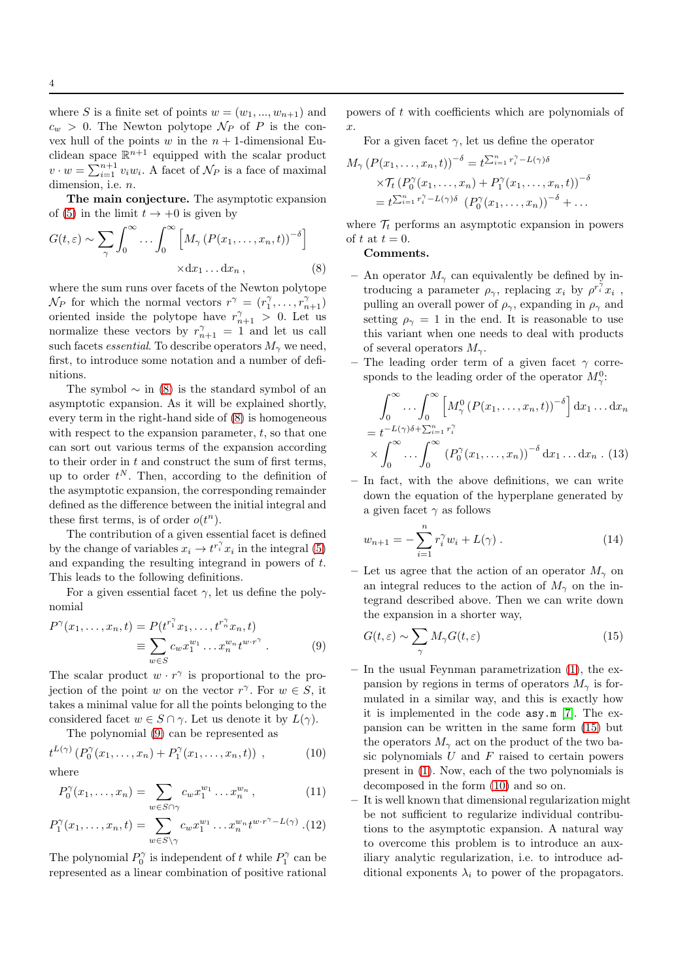where S is a finite set of points  $w = (w_1, ..., w_{n+1})$  and  $c_w > 0$ . The Newton polytope  $\mathcal{N}_P$  of P is the convex hull of the points w in the  $n + 1$ -dimensional Euclidean space  $\mathbb{R}^{n+1}$  equipped with the scalar product  $v \cdot w = \sum_{i=1}^{n+1} v_i w_i$ . A facet of  $\mathcal{N}_P$  is a face of maximal dimension, i.e.  $n$ .

The main conjecture. The asymptotic expansion of [\(5\)](#page-2-0) in the limit  $t \to +0$  is given by

<span id="page-3-0"></span>
$$
G(t,\varepsilon) \sim \sum_{\gamma} \int_0^{\infty} \dots \int_0^{\infty} \left[ M_{\gamma} \left( P(x_1, \dots, x_n, t) \right)^{-\delta} \right] \times \mathrm{d}x_1 \dots \mathrm{d}x_n, \tag{8}
$$

where the sum runs over facets of the Newton polytope  $\mathcal{N}_P$  for which the normal vectors  $r^{\gamma} = (r_1^{\gamma}, \dots, r_{n+1}^{\gamma})$ oriented inside the polytope have  $r_{n+1}^{\gamma} > 0$ . Let us normalize these vectors by  $r_{n+1}^{\gamma} = 1$  and let us call such facets *essential*. To describe operators  $M_{\gamma}$  we need, first, to introduce some notation and a number of definitions.

The symbol  $\sim$  in [\(8\)](#page-3-0) is the standard symbol of an asymptotic expansion. As it will be explained shortly, every term in the right-hand side of [\(8\)](#page-3-0) is homogeneous with respect to the expansion parameter,  $t$ , so that one can sort out various terms of the expansion according to their order in  $t$  and construct the sum of first terms, up to order  $t^N$ . Then, according to the definition of the asymptotic expansion, the corresponding remainder defined as the difference between the initial integral and these first terms, is of order  $o(t^n)$ .

The contribution of a given essential facet is defined by the change of variables  $x_i \to t^{r_i^{\gamma}} x_i$  in the integral [\(5\)](#page-2-0) and expanding the resulting integrand in powers of t. This leads to the following definitions.

For a given essential facet  $\gamma$ , let us define the polynomial

<span id="page-3-1"></span>
$$
P^{\gamma}(x_1, ..., x_n, t) = P(t^{r_1^{\gamma}} x_1, ..., t^{r_n^{\gamma}} x_n, t)
$$
  

$$
\equiv \sum_{w \in S} c_w x_1^{w_1} ... x_n^{w_n} t^{w \cdot r^{\gamma}}.
$$
 (9)

The scalar product  $w \cdot r^{\gamma}$  is proportional to the projection of the point w on the vector  $r^{\gamma}$ . For  $w \in S$ , it takes a minimal value for all the points belonging to the considered facet  $w \in S \cap \gamma$ . Let us denote it by  $L(\gamma)$ .

The polynomial [\(9\)](#page-3-1) can be represented as

<span id="page-3-3"></span>
$$
t^{L(\gamma)}\left(P_0^{\gamma}(x_1,\ldots,x_n) + P_1^{\gamma}(x_1,\ldots,x_n,t)\right) ,\qquad (10)
$$

where

$$
P_0^{\gamma}(x_1,\ldots,x_n)=\sum_{w\in S\cap\gamma}c_wx_1^{w_1}\ldots x_n^{w_n},\qquad(11)
$$

$$
P_1^{\gamma}(x_1,\ldots,x_n,t) = \sum_{w \in S \setminus \gamma} c_w x_1^{w_1} \ldots x_n^{w_n} t^{w \cdot r^{\gamma} - L(\gamma)}
$$
 (12)

The polynomial  $P_0^{\gamma}$  is independent of t while  $P_1^{\gamma}$  can be represented as a linear combination of positive rational powers of t with coefficients which are polynomials of  $\hat{x}$ .

For a given facet  $\gamma$ , let us define the operator

$$
M_{\gamma} (P(x_1, \ldots, x_n, t))^{-\delta} = t^{\sum_{i=1}^n r_i^{\gamma} - L(\gamma)\delta}
$$
  
 
$$
\times T_t (P_0^{\gamma}(x_1, \ldots, x_n) + P_1^{\gamma}(x_1, \ldots, x_n, t))^{-\delta}
$$
  
 
$$
= t^{\sum_{i=1}^n r_i^{\gamma} - L(\gamma)\delta} (P_0^{\gamma}(x_1, \ldots, x_n))^{-\delta} + \ldots
$$

where  $\mathcal{T}_t$  performs an asymptotic expansion in powers of t at  $t = 0$ .

# Comments.

- An operator  $M_{\gamma}$  can equivalently be defined by introducing a parameter  $\rho_{\gamma}$ , replacing  $x_i$  by  $\rho^{r_i^{\gamma}} x_i$ , pulling an overall power of  $\rho_{\gamma}$ , expanding in  $\rho_{\gamma}$  and setting  $\rho_{\gamma} = 1$  in the end. It is reasonable to use this variant when one needs to deal with products of several operators  $M_{\gamma}$ .
- The leading order term of a given facet  $\gamma$  corresponds to the leading order of the operator  $M_{\gamma}^{0}$ :

<span id="page-3-4"></span>
$$
\int_0^\infty \dots \int_0^\infty \left[ M_\gamma^0 \left( P(x_1, \dots, x_n, t) \right)^{-\delta} \right] dx_1 \dots dx_n
$$
  
=  $t^{-L(\gamma)\delta + \sum_{i=1}^n r_i^\gamma}$   
 $\times \int_0^\infty \dots \int_0^\infty \left( P_0^\gamma(x_1, \dots, x_n) \right)^{-\delta} dx_1 \dots dx_n$ . (13)

– In fact, with the above definitions, we can write down the equation of the hyperplane generated by a given facet  $\gamma$  as follows

$$
w_{n+1} = -\sum_{i=1}^{n} r_i^{\gamma} w_i + L(\gamma) . \qquad (14)
$$

– Let us agree that the action of an operator  $M_{\gamma}$  on an integral reduces to the action of  $M_{\gamma}$  on the integrand described above. Then we can write down the expansion in a shorter way,

<span id="page-3-2"></span>
$$
G(t,\varepsilon) \sim \sum_{\gamma} M_{\gamma} G(t,\varepsilon) \tag{15}
$$

- In the usual Feynman parametrization [\(1\)](#page-1-1), the expansion by regions in terms of operators  $M_{\gamma}$  is formulated in a similar way, and this is exactly how it is implemented in the code asy.m [\[7\]](#page-11-6). The expansion can be written in the same form [\(15\)](#page-3-2) but the operators  $M_{\gamma}$  act on the product of the two basic polynomials  $U$  and  $F$  raised to certain powers present in [\(1\)](#page-1-1). Now, each of the two polynomials is decomposed in the form [\(10\)](#page-3-3) and so on.
- It is well known that dimensional regularization might be not sufficient to regularize individual contributions to the asymptotic expansion. A natural way to overcome this problem is to introduce an auxiliary analytic regularization, i.e. to introduce additional exponents  $\lambda_i$  to power of the propagators.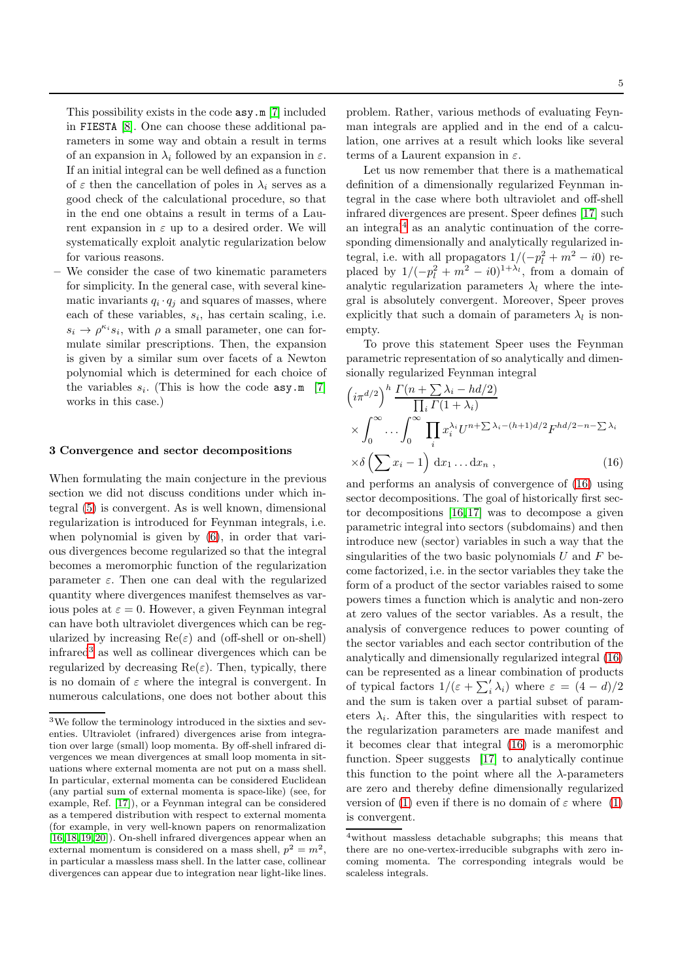This possibility exists in the code asy.m [\[7\]](#page-11-6) included in FIESTA [\[8\]](#page-11-7). One can choose these additional parameters in some way and obtain a result in terms of an expansion in  $\lambda_i$  followed by an expansion in  $\varepsilon$ . If an initial integral can be well defined as a function of  $\varepsilon$  then the cancellation of poles in  $\lambda_i$  serves as a good check of the calculational procedure, so that in the end one obtains a result in terms of a Laurent expansion in  $\varepsilon$  up to a desired order. We will systematically exploit analytic regularization below for various reasons.

– We consider the case of two kinematic parameters for simplicity. In the general case, with several kinematic invariants  $q_i \cdot q_j$  and squares of masses, where each of these variables,  $s_i$ , has certain scaling, i.e.  $s_i \to \rho^{\kappa_i} s_i$ , with  $\rho$  a small parameter, one can formulate similar prescriptions. Then, the expansion is given by a similar sum over facets of a Newton polynomial which is determined for each choice of the variables  $s_i$ . (This is how the code  $\texttt{asy.m}$  [\[7\]](#page-11-6) works in this case.)

## 3 Convergence and sector decompositions

When formulating the main conjecture in the previous section we did not discuss conditions under which integral [\(5\)](#page-2-0) is convergent. As is well known, dimensional regularization is introduced for Feynman integrals, i.e. when polynomial is given by [\(6\)](#page-2-1), in order that various divergences become regularized so that the integral becomes a meromorphic function of the regularization parameter  $\varepsilon$ . Then one can deal with the regularized quantity where divergences manifest themselves as various poles at  $\varepsilon = 0$ . However, a given Feynman integral can have both ultraviolet divergences which can be regularized by increasing  $\text{Re}(\varepsilon)$  and (off-shell or on-shell) infrared<sup>[3](#page-4-0)</sup> as well as collinear divergences which can be regularized by decreasing  $\text{Re}(\varepsilon)$ . Then, typically, there is no domain of  $\varepsilon$  where the integral is convergent. In numerous calculations, one does not bother about this

problem. Rather, various methods of evaluating Feynman integrals are applied and in the end of a calculation, one arrives at a result which looks like several terms of a Laurent expansion in  $\varepsilon$ .

Let us now remember that there is a mathematical definition of a dimensionally regularized Feynman integral in the case where both ultraviolet and off-shell infrared divergences are present. Speer defines [\[17\]](#page-11-15) such an integral<sup>[4](#page-4-1)</sup> as an analytic continuation of the corresponding dimensionally and analytically regularized integral, i.e. with all propagators  $1/(-p_l^2 + m^2 - i0)$  replaced by  $1/(-p_l^2 + m^2 - i0)^{1+\lambda_l}$ , from a domain of analytic regularization parameters  $\lambda_l$  where the integral is absolutely convergent. Moreover, Speer proves explicitly that such a domain of parameters  $\lambda_l$  is nonempty.

To prove this statement Speer uses the Feynman parametric representation of so analytically and dimensionally regularized Feynman integral

<span id="page-4-2"></span>
$$
\left(i\pi^{d/2}\right)^h \frac{\Gamma(n+\sum \lambda_i - hd/2)}{\prod_i \Gamma(1+\lambda_i)} \times \int_0^\infty \dots \int_0^\infty \prod_i x_i^{\lambda_i} U^{n+\sum \lambda_i - (h+1)d/2} F^{hd/2-n-\sum \lambda_i} \times \delta\left(\sum x_i - 1\right) dx_1 \dots dx_n ,
$$
\n(16)

and performs an analysis of convergence of [\(16\)](#page-4-2) using sector decompositions. The goal of historically first sector decompositions [\[16,](#page-11-16)[17\]](#page-11-15) was to decompose a given parametric integral into sectors (subdomains) and then introduce new (sector) variables in such a way that the singularities of the two basic polynomials  $U$  and  $F$  become factorized, i.e. in the sector variables they take the form of a product of the sector variables raised to some powers times a function which is analytic and non-zero at zero values of the sector variables. As a result, the analysis of convergence reduces to power counting of the sector variables and each sector contribution of the analytically and dimensionally regularized integral [\(16\)](#page-4-2) can be represented as a linear combination of products of typical factors  $1/(\varepsilon + \sum_i^{\prime} \lambda_i)$  where  $\varepsilon = (4 - d)/2$ and the sum is taken over a partial subset of parameters  $\lambda_i$ . After this, the singularities with respect to the regularization parameters are made manifest and it becomes clear that integral [\(16\)](#page-4-2) is a meromorphic function. Speer suggests [\[17\]](#page-11-15) to analytically continue this function to the point where all the  $\lambda$ -parameters are zero and thereby define dimensionally regularized version of [\(1\)](#page-1-1) even if there is no domain of  $\varepsilon$  where (1) is convergent.

<span id="page-4-0"></span> $3$ We follow the terminology introduced in the sixties and seventies. Ultraviolet (infrared) divergences arise from integration over large (small) loop momenta. By off-shell infrared divergences we mean divergences at small loop momenta in situations where external momenta are not put on a mass shell. In particular, external momenta can be considered Euclidean (any partial sum of external momenta is space-like) (see, for example, Ref. [\[17\]](#page-11-15)), or a Feynman integral can be considered as a tempered distribution with respect to external momenta (for example, in very well-known papers on renormalization [\[16,](#page-11-16)[18,](#page-11-17)[19,](#page-11-18)[20\]](#page-11-19)). On-shell infrared divergences appear when an external momentum is considered on a mass shell,  $p^2 = m^2$ , in particular a massless mass shell. In the latter case, collinear divergences can appear due to integration near light-like lines.

<span id="page-4-1"></span><sup>4</sup>without massless detachable subgraphs; this means that there are no one-vertex-irreducible subgraphs with zero incoming momenta. The corresponding integrals would be scaleless integrals.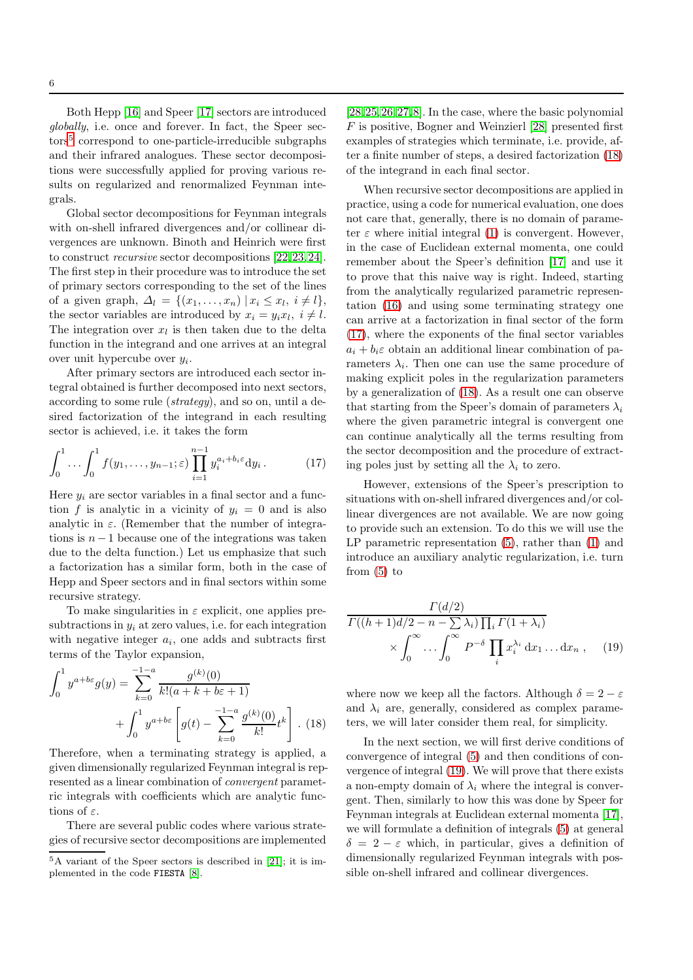Both Hepp [\[16\]](#page-11-16) and Speer [\[17\]](#page-11-15) sectors are introduced globally, i.e. once and forever. In fact, the Speer sec-tors<sup>[5](#page-5-0)</sup> correspond to one-particle-irreducible subgraphs and their infrared analogues. These sector decompositions were successfully applied for proving various results on regularized and renormalized Feynman integrals.

Global sector decompositions for Feynman integrals with on-shell infrared divergences and/or collinear divergences are unknown. Binoth and Heinrich were first to construct recursive sector decompositions [\[22,](#page-12-0)[23,](#page-12-1)[24\]](#page-12-2). The first step in their procedure was to introduce the set of primary sectors corresponding to the set of the lines of a given graph,  $\Delta_l = \{(x_1, \ldots, x_n) | x_i \leq x_l, i \neq l\},\$ the sector variables are introduced by  $x_i = y_i x_l, i \neq l$ . The integration over  $x_l$  is then taken due to the delta function in the integrand and one arrives at an integral over unit hypercube over  $y_i$ .

After primary sectors are introduced each sector integral obtained is further decomposed into next sectors, according to some rule (strategy), and so on, until a desired factorization of the integrand in each resulting sector is achieved, i.e. it takes the form

$$
\int_0^1 \cdots \int_0^1 f(y_1, \ldots, y_{n-1}; \varepsilon) \prod_{i=1}^{n-1} y_i^{a_i + b_i \varepsilon} dy_i.
$$
 (17)

Here  $y_i$  are sector variables in a final sector and a function f is analytic in a vicinity of  $y_i = 0$  and is also analytic in  $\varepsilon$ . (Remember that the number of integrations is  $n-1$  because one of the integrations was taken due to the delta function.) Let us emphasize that such a factorization has a similar form, both in the case of Hepp and Speer sectors and in final sectors within some recursive strategy.

To make singularities in  $\varepsilon$  explicit, one applies presubtractions in  $y_i$  at zero values, i.e. for each integration with negative integer  $a_i$ , one adds and subtracts first terms of the Taylor expansion,

<span id="page-5-1"></span>
$$
\int_0^1 y^{a+b\varepsilon} g(y) = \sum_{k=0}^{-1-a} \frac{g^{(k)}(0)}{k!(a+k+b\varepsilon+1)} + \int_0^1 y^{a+b\varepsilon} \left[ g(t) - \sum_{k=0}^{-1-a} \frac{g^{(k)}(0)}{k!} t^k \right].
$$
 (18)

Therefore, when a terminating strategy is applied, a given dimensionally regularized Feynman integral is represented as a linear combination of convergent parametric integrals with coefficients which are analytic functions of  $\varepsilon$ .

There are several public codes where various strategies of recursive sector decompositions are implemented [\[28,](#page-12-3)[25,](#page-12-4)[26,](#page-12-5)[27,](#page-12-6)[8\]](#page-11-7). In the case, where the basic polynomial F is positive, Bogner and Weinzierl [\[28\]](#page-12-3) presented first examples of strategies which terminate, i.e. provide, after a finite number of steps, a desired factorization [\(18\)](#page-5-1) of the integrand in each final sector.

When recursive sector decompositions are applied in practice, using a code for numerical evaluation, one does not care that, generally, there is no domain of parameter  $\varepsilon$  where initial integral [\(1\)](#page-1-1) is convergent. However, in the case of Euclidean external momenta, one could remember about the Speer's definition [\[17\]](#page-11-15) and use it to prove that this naive way is right. Indeed, starting from the analytically regularized parametric representation [\(16\)](#page-4-2) and using some terminating strategy one can arrive at a factorization in final sector of the form [\(17\)](#page-5-2), where the exponents of the final sector variables  $a_i + b_i\varepsilon$  obtain an additional linear combination of parameters  $\lambda_i$ . Then one can use the same procedure of making explicit poles in the regularization parameters by a generalization of [\(18\)](#page-5-1). As a result one can observe that starting from the Speer's domain of parameters  $\lambda_i$ where the given parametric integral is convergent one can continue analytically all the terms resulting from the sector decomposition and the procedure of extracting poles just by setting all the  $\lambda_i$  to zero.

<span id="page-5-2"></span>However, extensions of the Speer's prescription to situations with on-shell infrared divergences and/or collinear divergences are not available. We are now going to provide such an extension. To do this we will use the LP parametric representation [\(5\)](#page-2-0), rather than [\(1\)](#page-1-1) and introduce an auxiliary analytic regularization, i.e. turn from [\(5\)](#page-2-0) to

<span id="page-5-3"></span>
$$
\frac{\Gamma(d/2)}{\Gamma((h+1)d/2 - n - \sum \lambda_i) \prod_i \Gamma(1+\lambda_i)} \times \int_0^\infty \dots \int_0^\infty P^{-\delta} \prod_i x_i^{\lambda_i} dx_1 \dots dx_n , \quad (19)
$$

where now we keep all the factors. Although  $\delta = 2 - \varepsilon$ and  $\lambda_i$  are, generally, considered as complex parameters, we will later consider them real, for simplicity.

In the next section, we will first derive conditions of convergence of integral [\(5\)](#page-2-0) and then conditions of convergence of integral [\(19\)](#page-5-3). We will prove that there exists a non-empty domain of  $\lambda_i$  where the integral is convergent. Then, similarly to how this was done by Speer for Feynman integrals at Euclidean external momenta [\[17\]](#page-11-15), we will formulate a definition of integrals [\(5\)](#page-2-0) at general  $\delta = 2 - \varepsilon$  which, in particular, gives a definition of dimensionally regularized Feynman integrals with possible on-shell infrared and collinear divergences.

<span id="page-5-0"></span><sup>5</sup>A variant of the Speer sectors is described in [\[21\]](#page-11-20); it is implemented in the code FIESTA [\[8\]](#page-11-7).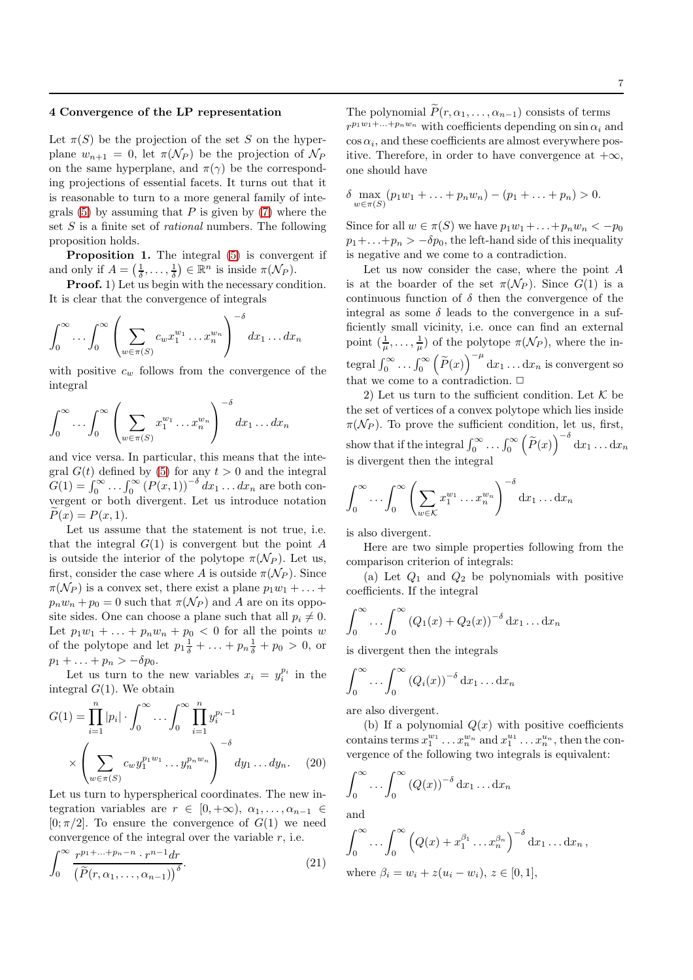## 4 Convergence of the LP representation

Let  $\pi(S)$  be the projection of the set S on the hyperplane  $w_{n+1} = 0$ , let  $\pi(\mathcal{N}_P)$  be the projection of  $\mathcal{N}_P$ on the same hyperplane, and  $\pi(\gamma)$  be the corresponding projections of essential facets. It turns out that it is reasonable to turn to a more general family of integrals  $(5)$  by assuming that P is given by  $(7)$  where the set  $S$  is a finite set of *rational* numbers. The following proposition holds.

Proposition 1. The integral [\(5\)](#page-2-0) is convergent if and only if  $A = (\frac{1}{\delta}, \dots, \frac{1}{\delta}) \in \mathbb{R}^n$  is inside  $\pi(\mathcal{N}_P)$ .

Proof. 1) Let us begin with the necessary condition. It is clear that the convergence of integrals

$$
\int_0^\infty \dots \int_0^\infty \left( \sum_{w \in \pi(S)} c_w x_1^{w_1} \dots x_n^{w_n} \right)^{-\delta} dx_1 \dots dx_n
$$

with positive  $c_w$  follows from the convergence of the integral

$$
\int_0^\infty \dots \int_0^\infty \left( \sum_{w \in \pi(S)} x_1^{w_1} \dots x_n^{w_n} \right)^{-\delta} dx_1 \dots dx_n
$$

and vice versa. In particular, this means that the integral  $G(t)$  defined by [\(5\)](#page-2-0) for any  $t > 0$  and the integral  $G(1) = \int_0^\infty \ldots \int_0^\infty (P(x, 1))^{-\delta} dx_1 \ldots dx_n$  are both convergent or both divergent. Let us introduce notation  $P(x) = P(x, 1).$ 

Let us assume that the statement is not true, i.e. that the integral  $G(1)$  is convergent but the point A is outside the interior of the polytope  $\pi(\mathcal{N}_P)$ . Let us, first, consider the case where A is outside  $\pi(\mathcal{N}_P)$ . Since  $\pi(\mathcal{N}_P)$  is a convex set, there exist a plane  $p_1w_1 + \ldots$  $p_n w_n + p_0 = 0$  such that  $\pi(\mathcal{N}_P)$  and A are on its opposite sides. One can choose a plane such that all  $p_i \neq 0$ . Let  $p_1w_1 + \ldots + p_nw_n + p_0 < 0$  for all the points w of the polytope and let  $p_1 \frac{1}{\delta} + \ldots + p_n \frac{1}{\delta} + p_0 > 0$ , or  $p_1 + \ldots + p_n > -\delta p_0.$ 

Let us turn to the new variables  $x_i = y_i^{p_i}$  in the integral  $G(1)$ . We obtain

$$
G(1) = \prod_{i=1}^{n} |p_i| \cdot \int_0^{\infty} \dots \int_0^{\infty} \prod_{i=1}^{n} y_i^{p_i - 1}
$$

$$
\times \left( \sum_{w \in \pi(S)} c_w y_1^{p_1 w_1} \dots y_n^{p_n w_n} \right)^{-\delta} dy_1 \dots dy_n.
$$
 (20)

Let us turn to hyperspherical coordinates. The new integration variables are  $r \in [0, +\infty)$ ,  $\alpha_1, \ldots, \alpha_{n-1} \in$  $[0;\pi/2]$ . To ensure the convergence of  $G(1)$  we need convergence of the integral over the variable  $r$ , i.e.

$$
\int_0^\infty \frac{r^{p_1 + \dots + p_n - n} \cdot r^{n-1} dr}{\left(\widetilde{P}(r, \alpha_1, \dots, \alpha_{n-1})\right)^\delta}.
$$
\n(21)

The polynomial  $\widetilde{P}(r, \alpha_1, \ldots, \alpha_{n-1})$  consists of terms  $r^{p_1w_1+\ldots+p_nw_n}$  with coefficients depending on  $\sin \alpha_i$  and  $\cos \alpha_i$ , and these coefficients are almost everywhere positive. Therefore, in order to have convergence at  $+\infty$ , one should have

$$
\delta \max_{w \in \pi(S)} (p_1 w_1 + \ldots + p_n w_n) - (p_1 + \ldots + p_n) > 0.
$$

Since for all  $w \in \pi(S)$  we have  $p_1w_1 + \ldots + p_nw_n < -p_0$  $p_1+\ldots+p_n > -\delta p_0$ , the left-hand side of this inequality is negative and we come to a contradiction.

Let us now consider the case, where the point A is at the boarder of the set  $\pi(\mathcal{N}_P)$ . Since  $G(1)$  is a continuous function of  $\delta$  then the convergence of the integral as some  $\delta$  leads to the convergence in a sufficiently small vicinity, i.e. once can find an external point  $(\frac{1}{\mu}, \ldots, \frac{1}{\mu})$  of the polytope  $\pi(\mathcal{N}_P)$ , where the integral  $\int_0^\infty \dots \int_0^\infty$  $\left(\widetilde{P}(x)\right)^{-\mu} dx_1 \dots dx_n$  is convergent so that we come to a contradiction.  $\Box$ 

2) Let us turn to the sufficient condition. Let  $K$  be the set of vertices of a convex polytope which lies inside  $\pi(\mathcal{N}_P)$ . To prove the sufficient condition, let us, first, show that if the integral  $\int_0^\infty \ldots \int_0^\infty$  $\left(\widetilde{P}(x)\right)^{-\delta} dx_1 \dots dx_n$ is divergent then the integral

$$
\int_0^\infty \cdots \int_0^\infty \left( \sum_{w \in \mathcal{K}} x_1^{w_1} \cdots x_n^{w_n} \right)^{-\delta} dx_1 \cdots dx_n
$$

is also divergent.

Here are two simple properties following from the comparison criterion of integrals:

(a) Let  $Q_1$  and  $Q_2$  be polynomials with positive coefficients. If the integral

$$
\int_0^\infty \dots \int_0^\infty \left( Q_1(x) + Q_2(x) \right)^{-\delta} \mathrm{d} x_1 \dots \mathrm{d} x_n
$$

is divergent then the integrals

$$
\int_0^\infty \dots \int_0^\infty \left( Q_i(x) \right)^{-\delta} \mathrm{d} x_1 \dots \mathrm{d} x_n
$$

are also divergent.

(b) If a polynomial  $Q(x)$  with positive coefficients contains terms  $x_1^{w_1} \ldots x_n^{w_n}$  and  $x_1^{u_1} \ldots x_n^{u_n}$ , then the convergence of the following two integrals is equivalent:

$$
\int_0^\infty \dots \int_0^\infty (Q(x))^{-\delta} \, \mathrm{d} x_1 \dots \mathrm{d} x_n
$$

and

$$
\int_0^\infty \dots \int_0^\infty \left( Q(x) + x_1^{\beta_1} \dots x_n^{\beta_n} \right)^{-\delta} dx_1 \dots dx_n,
$$
  
where  $\beta_i = w_i + z(u_i - w_i), z \in [0, 1],$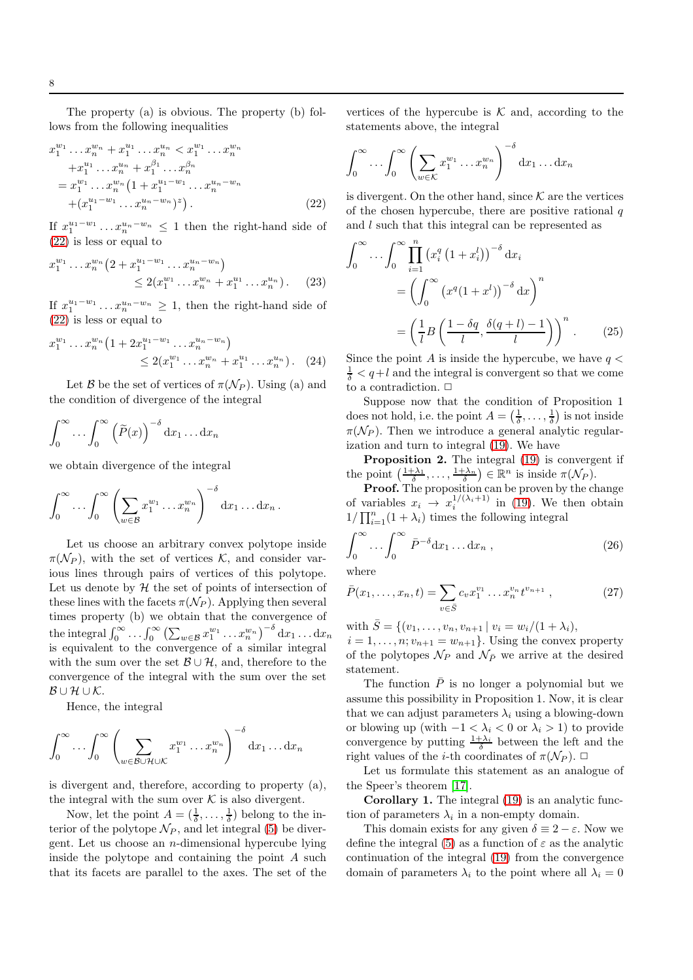The property (a) is obvious. The property (b) follows from the following inequalities

<span id="page-7-0"></span>
$$
x_1^{w_1} \dots x_n^{w_n} + x_1^{u_1} \dots x_n^{u_n} < x_1^{w_1} \dots x_n^{w_n}
$$
  
+
$$
x_1^{u_1} \dots x_n^{u_n} + x_1^{\beta_1} \dots x_n^{\beta_n}
$$
  
=
$$
x_1^{w_1} \dots x_n^{w_n} \left(1 + x_1^{u_1 - w_1} \dots x_n^{u_n - w_n}\right)
$$
  
+
$$
\left(x_1^{u_1 - w_1} \dots x_n^{u_n - w_n}\right)^z
$$
. (22)

If  $x_1^{u_1-w_1} \dots x_n^{u_n-w_n} \leq 1$  then the right-hand side of [\(22\)](#page-7-0) is less or equal to

$$
x_1^{w_1} \dots x_n^{w_n} \left(2 + x_1^{u_1 - w_1} \dots x_n^{u_n - w_n}\right) \le 2(x_1^{w_1} \dots x_n^{w_n} + x_1^{u_1} \dots x_n^{u_n}) \qquad (23)
$$

If  $x_1^{u_1-w_1} \dots x_n^{u_n-w_n} \geq 1$ , then the right-hand side of [\(22\)](#page-7-0) is less or equal to

$$
x_1^{w_1} \dots x_n^{w_n} \left( 1 + 2x_1^{u_1 - w_1} \dots x_n^{u_n - w_n} \right) \le 2(x_1^{w_1} \dots x_n^{w_n} + x_1^{u_1} \dots x_n^{u_n}). \tag{24}
$$

Let B be the set of vertices of  $\pi(\mathcal{N}_P)$ . Using (a) and the condition of divergence of the integral

$$
\int_0^\infty \dots \int_0^\infty \left(\widetilde{P}(x)\right)^{-\delta} \mathrm{d} x_1 \dots \mathrm{d} x_n
$$

we obtain divergence of the integral

$$
\int_0^\infty \cdots \int_0^\infty \left( \sum_{w \in \mathcal{B}} x_1^{w_1} \cdots x_n^{w_n} \right)^{-\delta} dx_1 \cdots dx_n.
$$

Let us choose an arbitrary convex polytope inside  $\pi(\mathcal{N}_P)$ , with the set of vertices K, and consider various lines through pairs of vertices of this polytope. Let us denote by  $H$  the set of points of intersection of these lines with the facets  $\pi(\mathcal{N}_P)$ . Applying then several times property (b) we obtain that the convergence of the integral  $\int_0^\infty \ldots \int_0^\infty \left( \sum_{w \in \mathcal{B}} x_1^{w_1} \ldots x_n^{w_n} \right)^{-\delta} dx_1 \ldots dx_n$ is equivalent to the convergence of a similar integral with the sum over the set  $\mathcal{B} \cup \mathcal{H}$ , and, therefore to the convergence of the integral with the sum over the set  $\mathcal{B} \cup \mathcal{H} \cup \mathcal{K}$ .

Hence, the integral

$$
\int_0^\infty \dots \int_0^\infty \left( \sum_{w \in \mathcal{B} \cup \mathcal{H} \cup \mathcal{K}} x_1^{w_1} \dots x_n^{w_n} \right)^{-\delta} dx_1 \dots dx_n
$$

is divergent and, therefore, according to property (a), the integral with the sum over  $\mathcal K$  is also divergent.

Now, let the point  $A = (\frac{1}{\delta}, \dots, \frac{1}{\delta})$  belong to the interior of the polytope  $\mathcal{N}_P$ , and let integral [\(5\)](#page-2-0) be divergent. Let us choose an n-dimensional hypercube lying inside the polytope and containing the point A such that its facets are parallel to the axes. The set of the

vertices of the hypercube is  $K$  and, according to the statements above, the integral

$$
\int_0^\infty \cdots \int_0^\infty \left( \sum_{w \in \mathcal{K}} x_1^{w_1} \cdots x_n^{w_n} \right)^{-\delta} dx_1 \cdots dx_n
$$

is divergent. On the other hand, since  $K$  are the vertices of the chosen hypercube, there are positive rational  $q$ and l such that this integral can be represented as

$$
\int_0^\infty \dots \int_0^\infty \prod_{i=1}^n \left( x_i^q \left( 1 + x_i^l \right) \right)^{-\delta} dx_i
$$

$$
= \left( \int_0^\infty \left( x^q (1 + x^l) \right)^{-\delta} dx \right)^n
$$

$$
= \left( \frac{1}{l} B \left( \frac{1 - \delta q}{l}, \frac{\delta (q + l) - 1}{l} \right) \right)^n. \tag{25}
$$

Since the point A is inside the hypercube, we have  $q <$  $\frac{1}{\delta} < q + l$  and the integral is convergent so that we come to a contradiction.  $\Box$ 

Suppose now that the condition of Proposition 1 does not hold, i.e. the point  $A = (\frac{1}{\delta}, \dots, \frac{1}{\delta})$  is not inside  $\pi(\mathcal{N}_P)$ . Then we introduce a general analytic regularization and turn to integral [\(19\)](#page-5-3). We have

Proposition 2. The integral [\(19\)](#page-5-3) is convergent if the point  $\left(\frac{1+\lambda_1}{\delta},\ldots,\frac{1+\lambda_n}{\delta}\right) \in \mathbb{R}^n$  is inside  $\pi(\mathcal{N}_P)$ .

Proof. The proposition can be proven by the change of variables  $x_i \rightarrow x_i^{1/(\lambda_i+1)}$  in [\(19\)](#page-5-3). We then obtain  $1/\prod_{i=1}^{n}(1+\lambda_i)$  times the following integral

$$
\int_0^\infty \dots \int_0^\infty \bar{P}^{-\delta} \mathrm{d} x_1 \dots \mathrm{d} x_n ,\qquad (26)
$$

where

$$
\bar{P}(x_1, \dots, x_n, t) = \sum_{v \in \bar{S}} c_v x_1^{v_1} \dots x_n^{v_n} t^{v_{n+1}}, \qquad (27)
$$

with  $\bar{S} = \{(v_1, \ldots, v_n, v_{n+1} \mid v_i = w_i/(1 + \lambda_i)),\}$  $i = 1, \ldots, n; v_{n+1} = w_{n+1}$ . Using the convex property of the polytopes  $\mathcal{N}_P$  and  $\mathcal{N}_{\bar{P}}$  we arrive at the desired statement.

The function  $\overline{P}$  is no longer a polynomial but we assume this possibility in Proposition 1. Now, it is clear that we can adjust parameters  $\lambda_i$  using a blowing-down or blowing up (with  $-1 < \lambda_i < 0$  or  $\lambda_i > 1$ ) to provide convergence by putting  $\frac{1+\lambda_i}{\delta}$  between the left and the right values of the *i*-th coordinates of  $\pi(\mathcal{N}_P)$ .  $\Box$ 

Let us formulate this statement as an analogue of the Speer's theorem [\[17\]](#page-11-15).

Corollary 1. The integral [\(19\)](#page-5-3) is an analytic function of parameters  $\lambda_i$  in a non-empty domain.

This domain exists for any given  $\delta \equiv 2 - \varepsilon$ . Now we define the integral [\(5\)](#page-2-0) as a function of  $\varepsilon$  as the analytic continuation of the integral [\(19\)](#page-5-3) from the convergence domain of parameters  $\lambda_i$  to the point where all  $\lambda_i = 0$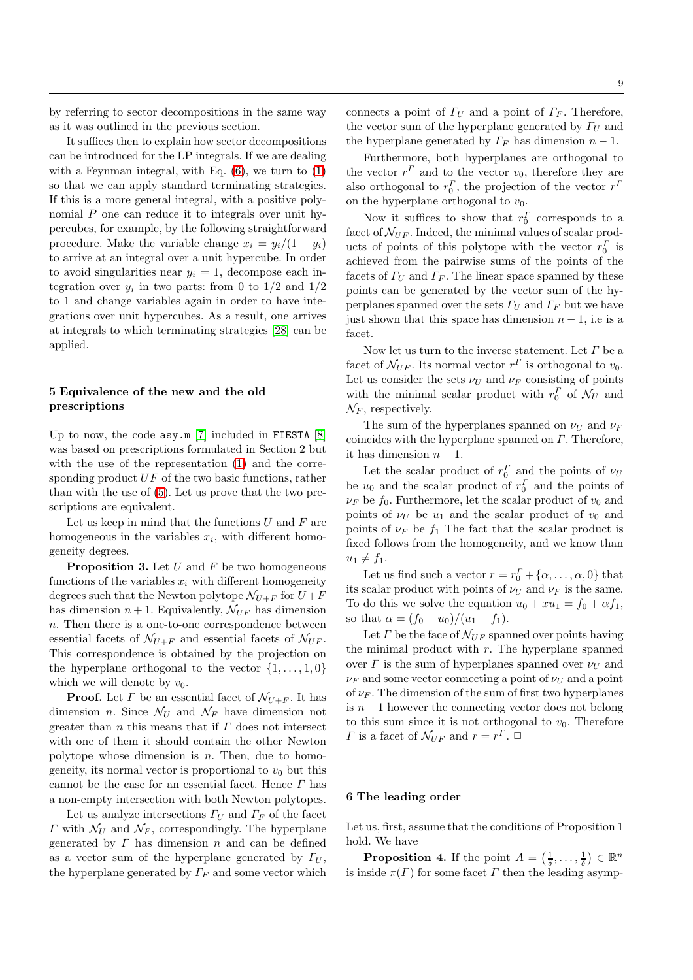by referring to sector decompositions in the same way as it was outlined in the previous section.

It suffices then to explain how sector decompositions can be introduced for the LP integrals. If we are dealing with a Feynman integral, with Eq. [\(6\)](#page-2-1), we turn to [\(1\)](#page-1-1) so that we can apply standard terminating strategies. If this is a more general integral, with a positive polynomial P one can reduce it to integrals over unit hypercubes, for example, by the following straightforward procedure. Make the variable change  $x_i = y_i/(1 - y_i)$ to arrive at an integral over a unit hypercube. In order to avoid singularities near  $y_i = 1$ , decompose each integration over  $y_i$  in two parts: from 0 to  $1/2$  and  $1/2$ to 1 and change variables again in order to have integrations over unit hypercubes. As a result, one arrives at integrals to which terminating strategies [\[28\]](#page-12-3) can be applied.

# 5 Equivalence of the new and the old prescriptions

Up to now, the code  $\text{asy.m}$  [\[7\]](#page-11-6) included in FIESTA [\[8\]](#page-11-7) was based on prescriptions formulated in Section 2 but with the use of the representation [\(1\)](#page-1-1) and the corresponding product  $UF$  of the two basic functions, rather than with the use of [\(5\)](#page-2-0). Let us prove that the two prescriptions are equivalent.

Let us keep in mind that the functions  $U$  and  $F$  are homogeneous in the variables  $x_i$ , with different homogeneity degrees.

**Proposition 3.** Let  $U$  and  $F$  be two homogeneous functions of the variables  $x_i$  with different homogeneity degrees such that the Newton polytope  $\mathcal{N}_{U+F}$  for  $U+F$ has dimension  $n + 1$ . Equivalently,  $\mathcal{N}_{UF}$  has dimension n. Then there is a one-to-one correspondence between essential facets of  $\mathcal{N}_{U+F}$  and essential facets of  $\mathcal{N}_{UF}$ . This correspondence is obtained by the projection on the hyperplane orthogonal to the vector  $\{1, \ldots, 1, 0\}$ which we will denote by  $v_0$ .

**Proof.** Let  $\Gamma$  be an essential facet of  $\mathcal{N}_{U+F}$ . It has dimension *n*. Since  $\mathcal{N}_U$  and  $\mathcal{N}_F$  have dimension not greater than *n* this means that if  $\Gamma$  does not intersect with one of them it should contain the other Newton polytope whose dimension is  $n$ . Then, due to homogeneity, its normal vector is proportional to  $v_0$  but this cannot be the case for an essential facet. Hence  $\Gamma$  has a non-empty intersection with both Newton polytopes.

Let us analyze intersections  $\Gamma_U$  and  $\Gamma_F$  of the facet  $\Gamma$  with  $\mathcal{N}_U$  and  $\mathcal{N}_F$ , correspondingly. The hyperplane generated by  $\Gamma$  has dimension  $n$  and can be defined as a vector sum of the hyperplane generated by  $\Gamma_U$ , the hyperplane generated by  $\Gamma_F$  and some vector which connects a point of  $\Gamma_U$  and a point of  $\Gamma_F$ . Therefore, the vector sum of the hyperplane generated by  $\Gamma_U$  and the hyperplane generated by  $\Gamma_F$  has dimension  $n-1$ .

Furthermore, both hyperplanes are orthogonal to the vector  $r^{\Gamma}$  and to the vector  $v_0$ , therefore they are also orthogonal to  $r_0^{\Gamma}$ , the projection of the vector  $r^{\Gamma}$ on the hyperplane orthogonal to  $v_0$ .

Now it suffices to show that  $r_0^{\Gamma}$  corresponds to a facet of  $\mathcal{N}_{UF}$ . Indeed, the minimal values of scalar products of points of this polytope with the vector  $r_0^{\Gamma}$  is achieved from the pairwise sums of the points of the facets of  $\Gamma$ <sup>II</sup> and  $\Gamma$ <sub>F</sub>. The linear space spanned by these points can be generated by the vector sum of the hyperplanes spanned over the sets  $\Gamma_U$  and  $\Gamma_F$  but we have just shown that this space has dimension  $n-1$ , i.e is a facet.

Now let us turn to the inverse statement. Let  $\varGamma$  be a facet of  $\mathcal{N}_{UF}$ . Its normal vector  $r^{\Gamma}$  is orthogonal to  $v_0$ . Let us consider the sets  $\nu_U$  and  $\nu_F$  consisting of points with the minimal scalar product with  $r_0^{\Gamma}$  of  $\mathcal{N}_U$  and  $\mathcal{N}_F$ , respectively.

The sum of the hyperplanes spanned on  $\nu_U$  and  $\nu_F$ coincides with the hyperplane spanned on  $\Gamma$ . Therefore, it has dimension  $n - 1$ .

Let the scalar product of  $r_0^{\Gamma}$  and the points of  $\nu_U$ be  $u_0$  and the scalar product of  $r_0^{\Gamma}$  and the points of  $\nu_F$  be  $f_0$ . Furthermore, let the scalar product of  $v_0$  and points of  $\nu_U$  be  $u_1$  and the scalar product of  $v_0$  and points of  $\nu_F$  be  $f_1$  The fact that the scalar product is fixed follows from the homogeneity, and we know than  $u_1 \neq f_1$ .

Let us find such a vector  $r = r_0^{\Gamma} + {\alpha, \dots, \alpha, 0}$  that its scalar product with points of  $\nu_U$  and  $\nu_F$  is the same. To do this we solve the equation  $u_0 + xu_1 = f_0 + \alpha f_1$ , so that  $\alpha = (f_0 - u_0)/(u_1 - f_1)$ .

Let  $\Gamma$  be the face of  $\mathcal{N}_{UF}$  spanned over points having the minimal product with  $r$ . The hyperplane spanned over  $\Gamma$  is the sum of hyperplanes spanned over  $\nu_U$  and  $\nu_F$  and some vector connecting a point of  $\nu_U$  and a point of  $\nu_F$ . The dimension of the sum of first two hyperplanes is  $n-1$  however the connecting vector does not belong to this sum since it is not orthogonal to  $v_0$ . Therefore  $\Gamma$  is a facet of  $\mathcal{N}_{UF}$  and  $r = r^{\Gamma}$ .  $\Box$ 

## 6 The leading order

Let us, first, assume that the conditions of Proposition 1 hold. We have

**Proposition 4.** If the point  $A = (\frac{1}{\delta}, \ldots, \frac{1}{\delta}) \in \mathbb{R}^n$ is inside  $\pi(\Gamma)$  for some facet  $\Gamma$  then the leading asymp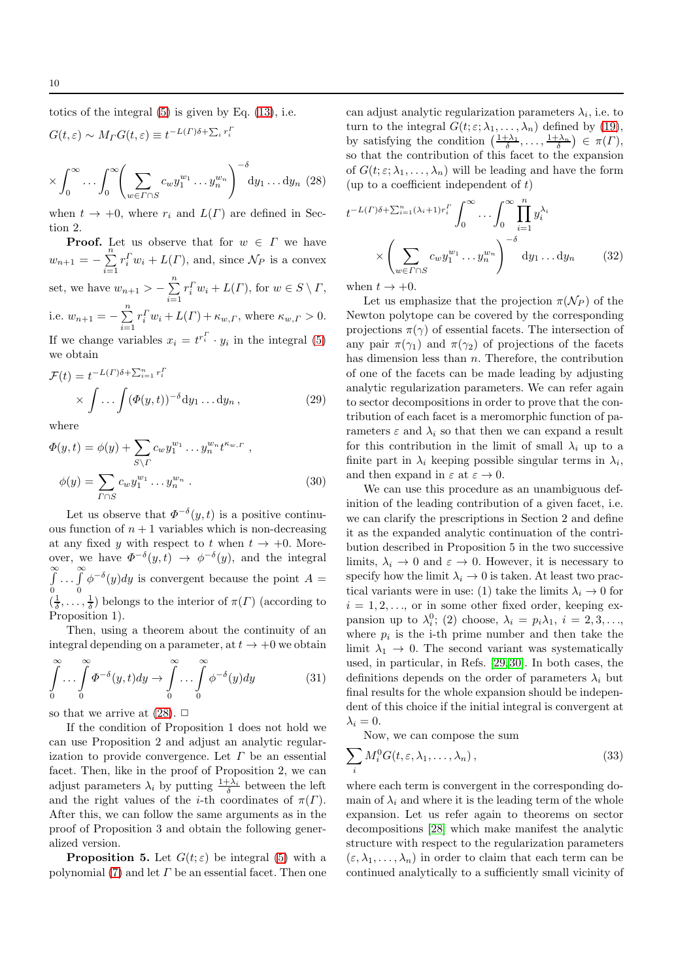totics of the integral [\(5\)](#page-2-0) is given by Eq. [\(13\)](#page-3-4), i.e.

<span id="page-9-0"></span>
$$
G(t,\varepsilon) \sim M_{\Gamma} G(t,\varepsilon) \equiv t^{-L(\Gamma)\delta + \sum_i r_i^{\Gamma}}
$$

$$
\times \int_0^\infty \dots \int_0^\infty \left( \sum_{w \in \Gamma \cap S} c_w y_1^{w_1} \dots y_n^{w_n} \right)^{-\delta} dy_1 \dots dy_n \tag{28}
$$

when  $t \to +0$ , where  $r_i$  and  $L(\Gamma)$  are defined in Section 2.

**Proof.** Let us observe that for  $w \in \Gamma$  we have  $w_{n+1} = -\sum_{n=1}^{n}$  $i=1$  $r_i^T w_i + L(\Gamma)$ , and, since  $\mathcal{N}_P$  is a convex set, we have  $w_{n+1} > -\sum_{n=1}^{n}$  $i=1$  $r_i^{\Gamma} w_i + L(\Gamma)$ , for  $w \in S \setminus \Gamma$ , i.e.  $w_{n+1} = -\sum_{n=1}^{n}$  $i=1$  $r_i^T w_i + L(\Gamma) + \kappa_{w,\Gamma}$ , where  $\kappa_{w,\Gamma} > 0$ .

If we change variables  $x_i = t^{r_i^T} \cdot y_i$  in the integral [\(5\)](#page-2-0) we obtain

<span id="page-9-2"></span>
$$
\mathcal{F}(t) = t^{-L(\Gamma)\delta + \sum_{i=1}^{n} r_i^{\Gamma}} \times \int \dots \int (\Phi(y, t))^{-\delta} dy_1 \dots dy_n , \qquad (29)
$$

where

$$
\Phi(y,t) = \phi(y) + \sum_{S \backslash \Gamma} c_w y_1^{w_1} \dots y_n^{w_n} t^{\kappa_{w,\Gamma}},
$$
  

$$
\phi(y) = \sum_{\Gamma \cap S} c_w y_1^{w_1} \dots y_n^{w_n}.
$$
 (30)

Let us observe that  $\Phi^{-\delta}(y,t)$  is a positive continuous function of  $n + 1$  variables which is non-decreasing at any fixed y with respect to t when  $t \to +0$ . Moreover, we have  $\Phi^{-\delta}(y,t) \to \phi^{-\delta}(y)$ , and the integral R∞ 0  $\ldots \overset{\infty}{\int}$ 0  $\phi^{-\delta}(y)dy$  is convergent because the point  $A =$  $(\frac{1}{\delta}, \ldots, \frac{1}{\delta})$  belongs to the interior of  $\pi(\Gamma)$  (according to Proposition 1).

Then, using a theorem about the continuity of an integral depending on a parameter, at  $t \to +0$  we obtain

$$
\int_{0}^{\infty} \dots \int_{0}^{\infty} \Phi^{-\delta}(y, t) dy \to \int_{0}^{\infty} \dots \int_{0}^{\infty} \phi^{-\delta}(y) dy \tag{31}
$$

so that we arrive at  $(28)$ .  $\Box$ 

If the condition of Proposition 1 does not hold we can use Proposition 2 and adjust an analytic regularization to provide convergence. Let  $\Gamma$  be an essential facet. Then, like in the proof of Proposition 2, we can adjust parameters  $\lambda_i$  by putting  $\frac{1+\lambda_i}{\delta}$  between the left and the right values of the *i*-th coordinates of  $\pi(\Gamma)$ . After this, we can follow the same arguments as in the proof of Proposition 3 and obtain the following generalized version.

**Proposition 5.** Let  $G(t; \varepsilon)$  be integral [\(5\)](#page-2-0) with a polynomial [\(7\)](#page-2-3) and let  $\Gamma$  be an essential facet. Then one

can adjust analytic regularization parameters  $\lambda_i$ , i.e. to turn to the integral  $G(t; \varepsilon; \lambda_1, \ldots, \lambda_n)$  defined by [\(19\)](#page-5-3), by satisfying the condition  $\left(\frac{1+\lambda_1}{\delta},\ldots,\frac{1+\lambda_n}{\delta}\right) \in \pi(\Gamma)$ , so that the contribution of this facet to the expansion of  $G(t; \varepsilon; \lambda_1, \ldots, \lambda_n)$  will be leading and have the form (up to a coefficient independent of  $t$ )

$$
t^{-L(\Gamma)\delta + \sum_{i=1}^{n} (\lambda_i + 1)r_i^{\Gamma}} \int_0^{\infty} \dots \int_0^{\infty} \prod_{i=1}^n y_i^{\lambda_i}
$$

$$
\times \left( \sum_{w \in \Gamma \cap S} c_w y_1^{w_1} \dots y_n^{w_n} \right)^{-\delta} dy_1 \dots dy_n \tag{32}
$$

when  $t \to +0$ .

Let us emphasize that the projection  $\pi(\mathcal{N}_P)$  of the Newton polytope can be covered by the corresponding projections  $\pi(\gamma)$  of essential facets. The intersection of any pair  $\pi(\gamma_1)$  and  $\pi(\gamma_2)$  of projections of the facets has dimension less than  $n$ . Therefore, the contribution of one of the facets can be made leading by adjusting analytic regularization parameters. We can refer again to sector decompositions in order to prove that the contribution of each facet is a meromorphic function of parameters  $\varepsilon$  and  $\lambda_i$  so that then we can expand a result for this contribution in the limit of small  $\lambda_i$  up to a finite part in  $\lambda_i$  keeping possible singular terms in  $\lambda_i$ , and then expand in  $\varepsilon$  at  $\varepsilon \to 0$ .

We can use this procedure as an unambiguous definition of the leading contribution of a given facet, i.e. we can clarify the prescriptions in Section 2 and define it as the expanded analytic continuation of the contribution described in Proposition 5 in the two successive limits,  $\lambda_i \to 0$  and  $\varepsilon \to 0$ . However, it is necessary to specify how the limit  $\lambda_i \to 0$  is taken. At least two practical variants were in use: (1) take the limits  $\lambda_i \to 0$  for  $i = 1, 2, \ldots$ , or in some other fixed order, keeping expansion up to  $\lambda_i^0$ ; (2) choose,  $\lambda_i = p_i \lambda_1$ ,  $i = 2, 3, \ldots$ , where  $p_i$  is the i-th prime number and then take the limit  $\lambda_1 \rightarrow 0$ . The second variant was systematically used, in particular, in Refs. [\[29,](#page-12-7)[30\]](#page-12-8). In both cases, the definitions depends on the order of parameters  $\lambda_i$  but final results for the whole expansion should be independent of this choice if the initial integral is convergent at  $\lambda_i = 0$ .

Now, we can compose the sum

<span id="page-9-1"></span>
$$
\sum_{i} M_i^0 G(t, \varepsilon, \lambda_1, \dots, \lambda_n), \tag{33}
$$

where each term is convergent in the corresponding domain of  $\lambda_i$  and where it is the leading term of the whole expansion. Let us refer again to theorems on sector decompositions [\[28\]](#page-12-3) which make manifest the analytic structure with respect to the regularization parameters  $(\varepsilon, \lambda_1, \ldots, \lambda_n)$  in order to claim that each term can be continued analytically to a sufficiently small vicinity of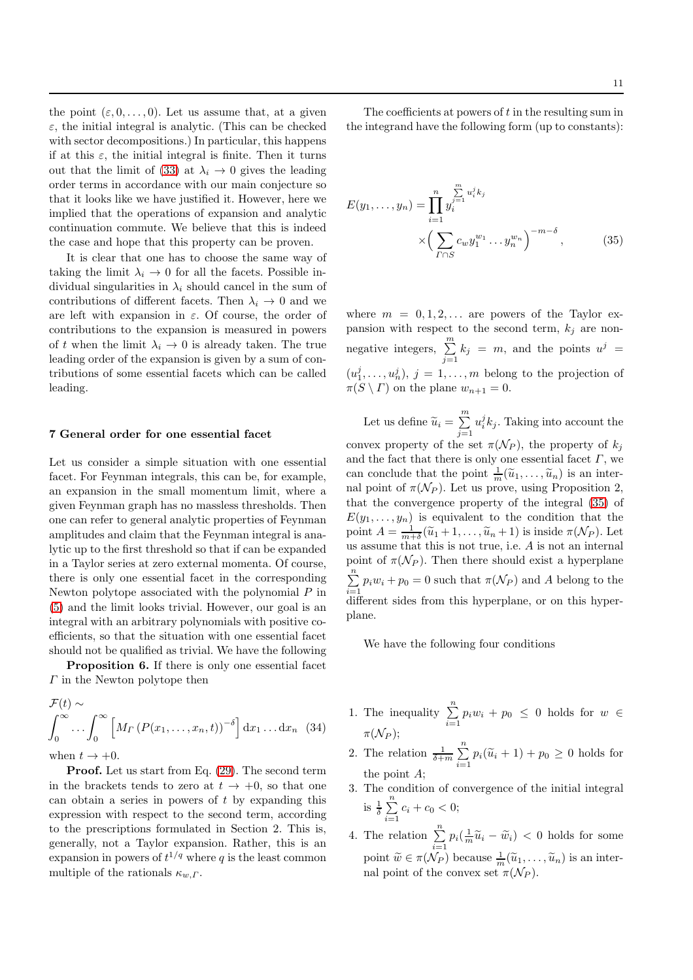the point  $(\varepsilon, 0, \ldots, 0)$ . Let us assume that, at a given  $\varepsilon$ , the initial integral is analytic. (This can be checked with sector decompositions.) In particular, this happens if at this  $\varepsilon$ , the initial integral is finite. Then it turns out that the limit of [\(33\)](#page-9-1) at  $\lambda_i \rightarrow 0$  gives the leading order terms in accordance with our main conjecture so that it looks like we have justified it. However, here we implied that the operations of expansion and analytic continuation commute. We believe that this is indeed the case and hope that this property can be proven.

It is clear that one has to choose the same way of taking the limit  $\lambda_i \rightarrow 0$  for all the facets. Possible individual singularities in  $\lambda_i$  should cancel in the sum of contributions of different facets. Then  $\lambda_i \to 0$  and we are left with expansion in  $\varepsilon$ . Of course, the order of contributions to the expansion is measured in powers of t when the limit  $\lambda_i \rightarrow 0$  is already taken. The true leading order of the expansion is given by a sum of contributions of some essential facets which can be called leading.

### 7 General order for one essential facet

Let us consider a simple situation with one essential facet. For Feynman integrals, this can be, for example, an expansion in the small momentum limit, where a given Feynman graph has no massless thresholds. Then one can refer to general analytic properties of Feynman amplitudes and claim that the Feynman integral is analytic up to the first threshold so that if can be expanded in a Taylor series at zero external momenta. Of course, there is only one essential facet in the corresponding Newton polytope associated with the polynomial  $P$  in [\(5\)](#page-2-0) and the limit looks trivial. However, our goal is an integral with an arbitrary polynomials with positive coefficients, so that the situation with one essential facet should not be qualified as trivial. We have the following

**Proposition 6.** If there is only one essential facet  $\Gamma$  in the Newton polytope then

<span id="page-10-1"></span>
$$
\mathcal{F}(t) \sim \int_0^\infty \left[ M_\Gamma \left( P(x_1, \ldots, x_n, t) \right)^{-\delta} \right] \mathrm{d} x_1 \ldots \mathrm{d} x_n \tag{34}
$$

when  $t \to +0$ .

Proof. Let us start from Eq. [\(29\)](#page-9-2). The second term in the brackets tends to zero at  $t \to +0$ , so that one can obtain a series in powers of  $t$  by expanding this expression with respect to the second term, according to the prescriptions formulated in Section 2. This is, generally, not a Taylor expansion. Rather, this is an expansion in powers of  $t^{1/q}$  where q is the least common multiple of the rationals  $\kappa_{w,\Gamma}$ .

The coefficients at powers of t in the resulting sum in the integrand have the following form (up to constants):

<span id="page-10-0"></span>
$$
E(y_1, ..., y_n) = \prod_{i=1}^n y_i^{\sum_{j=1}^m u_i^j k_j} \times \left(\sum_{\Gamma \cap S} c_w y_1^{w_1} \dots y_n^{w_n}\right)^{-m-\delta}, \tag{35}
$$

where  $m = 0, 1, 2, \ldots$  are powers of the Taylor expansion with respect to the second term,  $k_j$  are nonnegative integers,  $\sum_{m=1}^{m}$  $\sum_{j=1}^n k_j = m$ , and the points  $u^j =$  $(u_1^j, \ldots, u_n^j), j = 1, \ldots, m$  belong to the projection of  $\pi(S \setminus \Gamma)$  on the plane  $w_{n+1} = 0$ .

Let us define  $\widetilde{u}_i = \sum_{i=1}^m$  $j=1$  $u_i^j k_j$ . Taking into account the convex property of the set  $\pi(\mathcal{N}_P)$ , the property of  $k_j$ and the fact that there is only one essential facet  $\Gamma$ , we can conclude that the point  $\frac{1}{m}(\widetilde{u}_1,\ldots,\widetilde{u}_n)$  is an internal point of  $\pi(\mathcal{N}_P)$ . Let us prove, using Proposition 2, that the convergence property of the integral [\(35\)](#page-10-0) of  $E(y_1, \ldots, y_n)$  is equivalent to the condition that the point  $A = \frac{1}{m+\delta}(\widetilde{u}_1 + 1, \ldots, \widetilde{u}_n + 1)$  is inside  $\pi(\mathcal{N}_P)$ . Let us assume that this is not true, i.e. A is not an internal point of  $\pi(\mathcal{N}_P)$ . Then there should exist a hyperplane  $\sum_{i=1}^{n} p_i w_i + p_0 = 0$  such that  $\pi(\mathcal{N}_P)$  and A belong to the  $i=1$ <br>different sides from this hyperplane, or on this hyperplane.

We have the following four conditions

- 1. The inequality  $\sum_{n=1}^{\infty}$  $\sum_{i=1} p_i w_i + p_0 \leq 0$  holds for  $w \in$  $\pi(\mathcal{N}_P)$ ;
- 2. The relation  $\frac{1}{\delta+m} \sum_{n=1}^{n}$  $\sum_{i=1} p_i(\widetilde{u}_i + 1) + p_0 \ge 0$  holds for the point A;
- 3. The condition of convergence of the initial integral is  $\frac{1}{\delta} \sum_{n=1}^{\infty}$  $\sum_{i=1} c_i + c_0 < 0;$
- 4. The relation  $\sum_{n=1}^{\infty}$  $\sum_{i=1} p_i \left( \frac{1}{m} \widetilde{u}_i - \widetilde{w}_i \right) < 0$  holds for some point  $\widetilde{w} \in \pi(\mathcal{N}_P)$  because  $\frac{1}{m}(\widetilde{u}_1, \ldots, \widetilde{u}_n)$  is an internal point of the convex set  $\pi(\mathcal{N}_P)$ .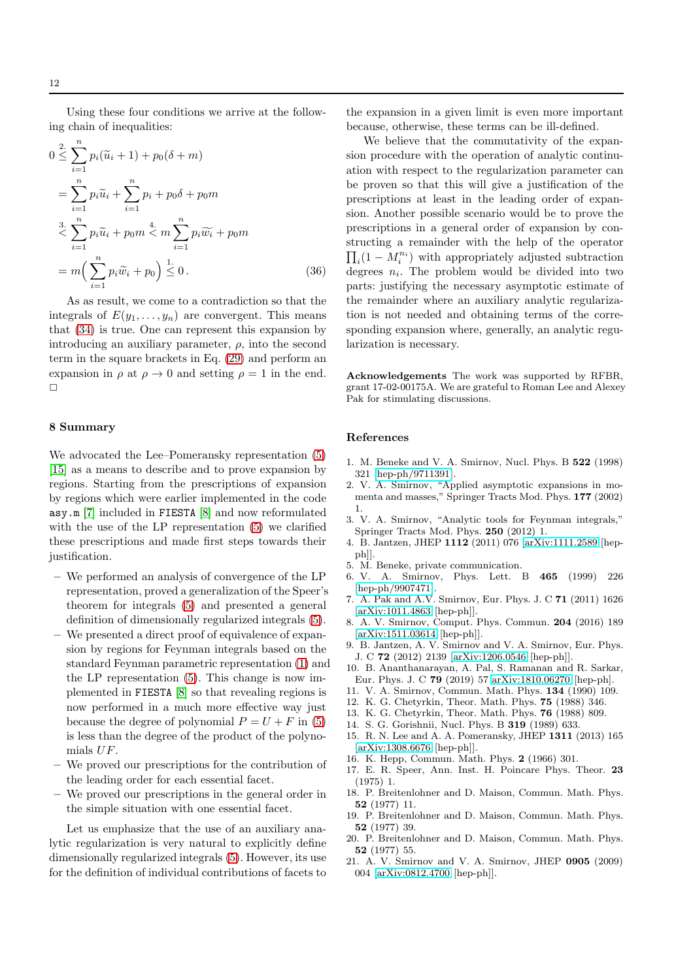Using these four conditions we arrive at the following chain of inequalities:

$$
0 \leq \sum_{i=1}^{n} p_i(\widetilde{u}_i + 1) + p_0(\delta + m)
$$
  
= 
$$
\sum_{i=1}^{n} p_i \widetilde{u}_i + \sum_{i=1}^{n} p_i + p_0 \delta + p_0 m
$$
  

$$
\leq \sum_{i=1}^{n} p_i \widetilde{u}_i + p_0 m \leq m \sum_{i=1}^{n} p_i \widetilde{w}_i + p_0 m
$$
  
= 
$$
m \Big( \sum_{i=1}^{n} p_i \widetilde{w}_i + p_0 \Big) \leq 0.
$$
 (36)

As as result, we come to a contradiction so that the integrals of  $E(y_1, \ldots, y_n)$  are convergent. This means that [\(34\)](#page-10-1) is true. One can represent this expansion by introducing an auxiliary parameter,  $\rho$ , into the second term in the square brackets in Eq. [\(29\)](#page-9-2) and perform an expansion in  $\rho$  at  $\rho \to 0$  and setting  $\rho = 1$  in the end.  $\Box$ 

## 8 Summary

We advocated the Lee–Pomeransky representation [\(5\)](#page-2-0) [\[15\]](#page-11-14) as a means to describe and to prove expansion by regions. Starting from the prescriptions of expansion by regions which were earlier implemented in the code asy.m [\[7\]](#page-11-6) included in FIESTA [\[8\]](#page-11-7) and now reformulated with the use of the LP representation [\(5\)](#page-2-0) we clarified these prescriptions and made first steps towards their justification.

- We performed an analysis of convergence of the LP representation, proved a generalization of the Speer's theorem for integrals [\(5\)](#page-2-0) and presented a general definition of dimensionally regularized integrals [\(5\)](#page-2-0).
- We presented a direct proof of equivalence of expansion by regions for Feynman integrals based on the standard Feynman parametric representation [\(1\)](#page-1-1) and the LP representation [\(5\)](#page-2-0). This change is now implemented in FIESTA [\[8\]](#page-11-7) so that revealing regions is now performed in a much more effective way just because the degree of polynomial  $P = U + F$  in [\(5\)](#page-2-0) is less than the degree of the product of the polynomials UF.
- We proved our prescriptions for the contribution of the leading order for each essential facet.
- We proved our prescriptions in the general order in the simple situation with one essential facet.

Let us emphasize that the use of an auxiliary analytic regularization is very natural to explicitly define dimensionally regularized integrals [\(5\)](#page-2-0). However, its use for the definition of individual contributions of facets to the expansion in a given limit is even more important because, otherwise, these terms can be ill-defined.

We believe that the commutativity of the expansion procedure with the operation of analytic continuation with respect to the regularization parameter can be proven so that this will give a justification of the prescriptions at least in the leading order of expansion. Another possible scenario would be to prove the prescriptions in a general order of expansion by constructing a remainder with the help of the operator  $\prod_i(1-M_i^{n_i})$  with appropriately adjusted subtraction degrees  $n_i$ . The problem would be divided into two parts: justifying the necessary asymptotic estimate of the remainder where an auxiliary analytic regularization is not needed and obtaining terms of the corresponding expansion where, generally, an analytic regularization is necessary.

Acknowledgements The work was supported by RFBR, grant 17-02-00175A. We are grateful to Roman Lee and Alexey Pak for stimulating discussions.

## References

- <span id="page-11-0"></span>1. M. Beneke and V. A. Smirnov, Nucl. Phys. B 522 (1998) 321 [\[hep-ph/9711391\]](http://arxiv.org/abs/hep-ph/9711391).
- <span id="page-11-1"></span>2. V. A. Smirnov, "Applied asymptotic expansions in momenta and masses," Springer Tracts Mod. Phys. 177 (2002) 1.
- <span id="page-11-2"></span>3. V. A. Smirnov, "Analytic tools for Feynman integrals," Springer Tracts Mod. Phys. 250 (2012) 1.
- <span id="page-11-4"></span>4. B. Jantzen, JHEP 1112 (2011) 076 [\[arXiv:1111.2589](http://arxiv.org/abs/1111.2589) [hepph]].
- <span id="page-11-5"></span><span id="page-11-3"></span>5. M. Beneke, private communication.
- 6. V. A. Smirnov, Phys. Lett. B 465 (1999) 226 [\[hep-ph/9907471\]](http://arxiv.org/abs/hep-ph/9907471).
- <span id="page-11-6"></span>7. A. Pak and A.V. Smirnov, Eur. Phys. J. C 71 (2011) 1626 [\[arXiv:1011.4863](http://arxiv.org/abs/1011.4863) [hep-ph]].
- <span id="page-11-7"></span>8. A. V. Smirnov, Comput. Phys. Commun. 204 (2016) 189 [\[arXiv:1511.03614](http://arxiv.org/abs/1511.03614) [hep-ph]].
- <span id="page-11-8"></span>9. B. Jantzen, A. V. Smirnov and V. A. Smirnov, Eur. Phys. J. C 72 (2012) 2139 [\[arXiv:1206.0546](http://arxiv.org/abs/1206.0546) [hep-ph]].
- <span id="page-11-13"></span>10. B. Ananthanarayan, A. Pal, S. Ramanan and R. Sarkar, Eur. Phys. J. C 79 (2019) 57 [arXiv:1810.06270](http://arxiv.org/abs/1810.06270) [hep-ph].
- <span id="page-11-10"></span><span id="page-11-9"></span>11. V. A. Smirnov, Commun. Math. Phys. 134 (1990) 109.
- <span id="page-11-11"></span>12. K. G. Chetyrkin, Theor. Math. Phys. 75 (1988) 346.
- <span id="page-11-12"></span>13. K. G. Chetyrkin, Theor. Math. Phys. 76 (1988) 809.
- <span id="page-11-14"></span>14. S. G. Gorishnii, Nucl. Phys. B 319 (1989) 633.
- 15. R. N. Lee and A. A. Pomeransky, JHEP 1311 (2013) 165 [\[arXiv:1308.6676](http://arxiv.org/abs/1308.6676) [hep-ph]].
- <span id="page-11-16"></span><span id="page-11-15"></span>16. K. Hepp, Commun. Math. Phys. 2 (1966) 301.
- 17. E. R. Speer, Ann. Inst. H. Poincare Phys. Theor. 23 (1975) 1.
- <span id="page-11-17"></span>18. P. Breitenlohner and D. Maison, Commun. Math. Phys. 52 (1977) 11.
- <span id="page-11-18"></span>19. P. Breitenlohner and D. Maison, Commun. Math. Phys. 52 (1977) 39.
- <span id="page-11-19"></span>20. P. Breitenlohner and D. Maison, Commun. Math. Phys. 52 (1977) 55.
- <span id="page-11-20"></span>21. A. V. Smirnov and V. A. Smirnov, JHEP 0905 (2009) 004 [\[arXiv:0812.4700](http://arxiv.org/abs/0812.4700) [hep-ph]].